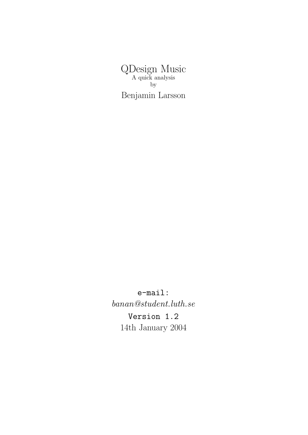QDesign Music A quick analysis by Benjamin Larsson

e-mail: banan@student.luth.se Version 1.2 14th January 2004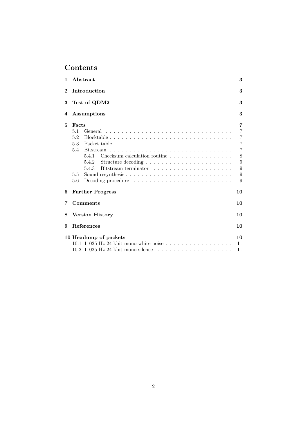# Contents

| 1        | Abstract                                                                                                                                                                                                                                                                                                                                                                                                                                                                                                                                                                                                           | 3                                                                                                  |  |  |  |  |
|----------|--------------------------------------------------------------------------------------------------------------------------------------------------------------------------------------------------------------------------------------------------------------------------------------------------------------------------------------------------------------------------------------------------------------------------------------------------------------------------------------------------------------------------------------------------------------------------------------------------------------------|----------------------------------------------------------------------------------------------------|--|--|--|--|
| $\bf{2}$ | Introduction                                                                                                                                                                                                                                                                                                                                                                                                                                                                                                                                                                                                       |                                                                                                    |  |  |  |  |
| 3        | Test of QDM2<br>3                                                                                                                                                                                                                                                                                                                                                                                                                                                                                                                                                                                                  |                                                                                                    |  |  |  |  |
| 4        | 3<br>Assumptions                                                                                                                                                                                                                                                                                                                                                                                                                                                                                                                                                                                                   |                                                                                                    |  |  |  |  |
| 5        | Facts<br>5.1<br>General<br>5.2<br>$Blocktable \n\t\ldots \n\t\ldots \n\t\ldots \n\t\ldots \n\t\ldots \n\t\ldots \n\t\ldots \n\t\ldots \n\t\ldots \n\t\ldots \n\t\ldots \n\t\ldots \n\t\ldots \n\t\ldots \n\t\ldots \n\t\ldots \n\t\ldots \n\t\ldots \n\t\ldots \n\t\ldots \n\t\ldots \n\t\ldots \n\t\ldots \n\t\ldots \n\t\ldots \n\t\ldots \n\t\ldots \n\t\ldots \n\t\ldots \n\t\ldots \n\t\ldots \n\t\ldots \n\t\ldots \n\t\ldots \n\t\ldots \n\t\ldots \n$<br>5.3<br>5.4<br><b>Bitstream</b><br>5.4.1<br>Checksum calculation routine $\ldots$ , $\ldots$ , $\ldots$ , $\ldots$<br>5.4.2<br>5.4.3<br>5.5<br>5.6 | 7<br>$\overline{7}$<br>$\overline{7}$<br>7<br>$\overline{7}$<br>8<br>$\overline{9}$<br>9<br>9<br>9 |  |  |  |  |
| 6        | <b>Further Progress</b><br>10                                                                                                                                                                                                                                                                                                                                                                                                                                                                                                                                                                                      |                                                                                                    |  |  |  |  |
| 7        | Comments<br>10                                                                                                                                                                                                                                                                                                                                                                                                                                                                                                                                                                                                     |                                                                                                    |  |  |  |  |
| 8        | <b>Version History</b><br>10                                                                                                                                                                                                                                                                                                                                                                                                                                                                                                                                                                                       |                                                                                                    |  |  |  |  |
| 9        | <b>References</b><br>10                                                                                                                                                                                                                                                                                                                                                                                                                                                                                                                                                                                            |                                                                                                    |  |  |  |  |
|          | 10 Hexdump of packets<br>$10.1$ 11025 Hz 24 kbit mono white noise<br>$10.2$ 11025 Hz 24 kbit mono silence<br>.                                                                                                                                                                                                                                                                                                                                                                                                                                                                                                     | 10<br>11<br>11                                                                                     |  |  |  |  |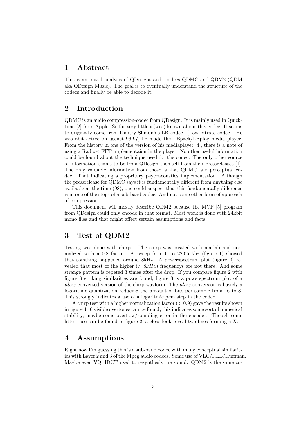### 1 Abstract

This is an initial analysis of QDesigns audiocodecs QDMC and QDM2 (QDM aka QDesign Music). The goal is to eventually understand the structure of the codecs and finally be able to decode it.

# 2 Introduction

QDMC is an audio compression-codec from QDesign. It is mainly used in Quicktime [2] from Apple. So far very little is(was) known about this codec. It seams to originally come from Dmitry Shmunk's LB codec. (Low bitrate codec). He was abit active on usenet 96-97, he made the LBpack/LBplay media player. From the history in one of the version of his mediaplayer [4], there is a note of using a Radix-4 FFT implementaion in the player. No other useful information could be found about the technique used for the codec. The only other source of information seams to be from QDesign themself from their pressreleases [1]. The only valuable information from those is that QDMC is a perceptual codec. That indicating a propritary psycoacoustics implementation. Although the pressrelease for QDMC says it is fundamentally different from anything else available at the time (98), one could suspect that this fundamentally difference is in one of the steps of a sub-band codec. And not some other form of approach of compression.

This document will mostly describe QDM2 because the MVP [5] program from QDesign could only encode in that format. Most work is done with 24kbit mono files and that might affect sertain assumptions and facts.

# 3 Test of QDM2

Testing was done with chirps. The chirp was created with matlab and normalized with a 0.8 factor. A sweep from 0 to  $22.05$  khz (figure 1) showed that somthing happened around 8kHz. A powerspectrum plot (figure 2) revealed that most of the higher ( $> 8kHz$ ) frequencys are not there. And some strange pattern is repeted 3 times after the drop. If you compare figure 2 with figure 3 striking similarities are found, figure 3 is a powerspectrum plot of a  $\mu law$ -converted version of the chirp wavform. The  $\mu law$ -conversion is basicly a logaritmic quantization reducing the amount of bits per sample from 16 to 8. This strongly indicates a use of a logaritmic pcm step in the codec.

A chirp test with a higher normalization factor  $(>0.9)$  gave the results shown in figure 4. 6 visible overtones can be found, this indicates some sort of numerical stability, maybe some overflow/rounding error in the encoder. Though some litte trace can be found in figure 2, a close look reveal two lines forming a X.

# 4 Assumptions

Right now I'm guessing this is a sub-band codec with many conceptual similarities with Layer 2 and 3 of the Mpeg audio codecs. Some use of VLC/RLE/Huffman. Maybe even VQ. IDCT used to resynthesis the sound. QDM2 is the same co-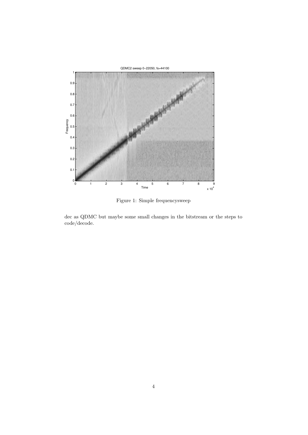

Figure 1: Simple frequencysweep

dec as QDMC but maybe some small changes in the bitstream or the steps to code/decode.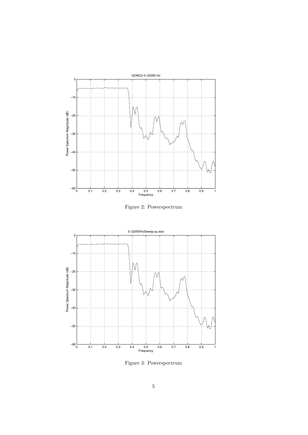





Figure 3: Powerspectrum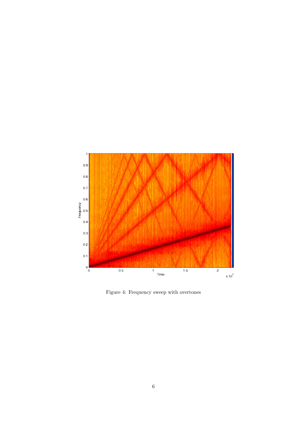

Figure 4: Frequency sweep with overtones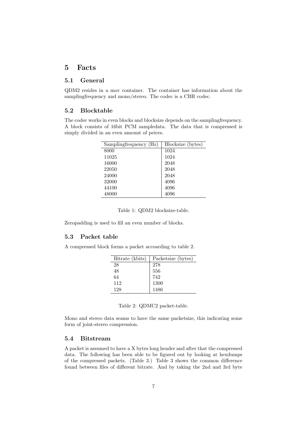### 5 Facts

### 5.1 General

QDM2 resides in a mov container. The container has information about the samplingfrequency and mono/stereo. The codec is a CBR codec.

### 5.2 Blocktable

The codec works in even blocks and blocksize depends on the samplingfrequency. A block consists of 16bit PCM sampledata. The data that is compressed is simply divided in an even amount of peices.

| Samplingfrequency (Hz) | Blocksize (bytes) |
|------------------------|-------------------|
| 8000                   | 1024              |
| 11025                  | 1024              |
| 16000                  | 2048              |
| 22050                  | 2048              |
| 24000                  | 2048              |
| 32000                  | 4096              |
| 44100                  | 4096              |
| 48000                  | 4096              |

Table 1: QDM2 blocksize-table.

Zeropadding is used to fill an even number of blocks.

### 5.3 Packet table

A compressed block forms a packet accoarding to table 2.

| Bitrate (kbits) | Packetsize (bytes) |
|-----------------|--------------------|
| 28              | 278                |
| 48              | 556                |
| 64              | 742                |
| 112             | 1300               |
| 128             | 1486               |

|  |  | Table 2: QDMC2 packet-table. |
|--|--|------------------------------|
|--|--|------------------------------|

Mono and stereo data seams to have the same packetsize, this indicating some form of joint-stereo compression.

### 5.4 Bitstream

A packet is assumed to have a X bytes long header and after that the compressed data. The following has been able to be figured out by looking at hexdumps of the compressed packets. (Table 3.) Table 3 shows the common difference found between files of different bitrate. And by taking the 2nd and 3rd byte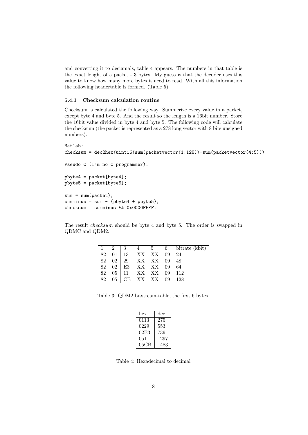and converting it to deciamals, table 4 appears. The numbers in that table is the exact lenght of a packet - 3 bytes. My guess is that the decoder uses this value to know how many more bytes it need to read. With all this information the following headertable is formed. (Table 5)

#### 5.4.1 Checksum calculation routine

Checksum is calculated the following way. Summerize every value in a packet, except byte 4 and byte 5. And the result so the length is a 16bit number. Store the 16bit value divided in byte 4 and byte 5. The following code will calculate the checksum (the packet is represented as a 278 long vector with 8 bits unsigned numbers):

```
Matlab:
checksum = dec2hex(uint16(sum(packetvector(1:128))-sum(packetvector(4:5)))
Pseudo C (I'm no C programmer):
pbyte4 = packet[byte4];
pbyte5 = packet[byte5];
sum = sum(packet);summinus = sum - (pbyte4 + pbyte5);checksum = summinus && 0x0000FFFF;
```
The result checksum should be byte 4 and byte 5. The order is swapped in QDMC and QDM2.

|    | 9  | 3  |                     | 5  | 6  | bitrate (kbit) |
|----|----|----|---------------------|----|----|----------------|
| 82 |    | 13 | XX   XX             |    | 09 | 24             |
| 82 | 02 | 29 | $XX$   XX           |    | 09 | 48             |
| 82 | 02 | E3 | $\mid$ XX $\mid$ XX |    | 09 | 64             |
| 82 | 05 | 11 | $XX$                | XX | 09 | 112            |
| 82 | 05 | CВ | XX                  | XX | 09 | 128            |

Table 3: QDM2 bitstream-table, the first 6 bytes.

| hex  | dec  |
|------|------|
| 0113 | 275  |
| 0229 | 553  |
| 02E3 | 739  |
| 0511 | 1297 |
| 05CB | 1483 |

Table 4: Hexadecimal to decimal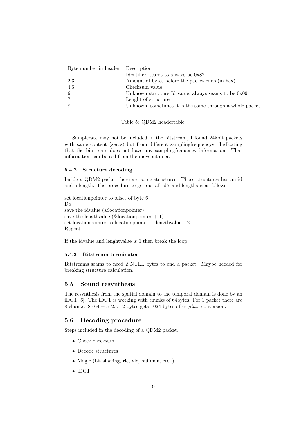| Byte number in header | Description                                              |
|-----------------------|----------------------------------------------------------|
|                       | Identifier, seams to always be $0x82$                    |
| 2,3                   | Amount of bytes before the packet ends (in hex)          |
| 4,5                   | Checksum value                                           |
|                       | Unknown structure Id value, always seams to be $0x09$    |
|                       | Lenght of structure                                      |
|                       | Unknown, sometimes it is the same through a whole packet |

Table 5: QDM2 headertable.

Samplerate may not be included in the bitstream, I found 24kbit packets with same content (zeros) but from different samplingfrequencys. Indicating that the bitstream does not have any samplingfrequency information. That information can be red from the movcontainer.

#### 5.4.2 Structure decoding

Inside a QDM2 packet there are some structures. Those structures has an id and a length. The procedure to get out all id's and lengths is as follows:

```
set locationpointer to offset of byte 6
Do
save the idvalue (&locationpointer)
save the lengthvalue (\&locationpointer + 1)
set locationpointer to locationpointer + lengthvalue +2Repeat
```
If the idvalue and lenghtvalue is 0 then break the loop.

#### 5.4.3 Bitstream terminator

Bitstreams seams to need 2 NULL bytes to end a packet. Maybe needed for breaking structure calculation.

#### 5.5 Sound resynthesis

The resynthesis from the spatial domain to the temporal domain is done by an iDCT [6]. The iDCT is working with chunks of 64bytes. For 1 packet there are 8 chunks.  $8 \cdot 64 = 512$ , 512 bytes gets 1024 bytes after  $\mu law$ -conversion.

### 5.6 Decoding procedure

Steps included in the decoding of a QDM2 packet.

- Check checksum
- Decode structures
- Magic (bit shaving, rle, vlc, huffman, etc..)
- iDCT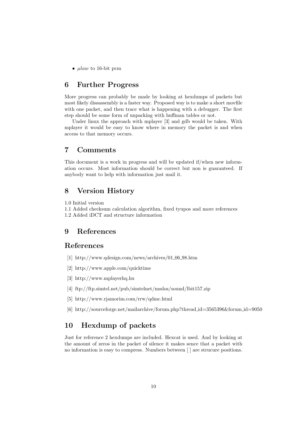•  $\mu law$  to 16-bit pcm

# 6 Further Progress

More progress can probably be made by looking at hexdumps of packets but most likely dissassembly is a faster way. Proposed way is to make a short movfile with one packet, and then trace what is happening with a debugger. The first step should be some form of unpacking with huffman tables or not.

Under linux the approach with mplayer [3] and gdb would be taken. With mplayer it would be easy to know where in memory the packet is and when access to that memory occurs.

# 7 Comments

This document is a work in progress and will be updated if/when new information occurs. Most information should be correct but non is guaranteed. If anybody want to help with information just mail it.

### 8 Version History

1.0 Initial version

1.1 Added checksum calculation algorithm, fixed tyupos and more references 1.2 Added iDCT and structure information

### 9 References

# References

- [1] http://www.qdesign.com/news/archives/01 06 98.htm
- [2] http://www.apple.com/quicktime
- [3] http://www.mplayerhq.hu
- [4] ftp://ftp.simtel.net/pub/simtelnet/msdos/sound/lbit157.zip
- [5] http://www.rjamorim.com/rrw/qdmc.html
- [6] http://sourceforge.net/mailarchive/forum.php?thread id=3565396&forum id=9050

# 10 Hexdump of packets

Just for reference 2 hexdumps are included. Hexcat is used. And by looking at the amount of zeros in the packet of silence it makes sence that a packet with no information is easy to compress. Numbers between [ ] are strucure positions.